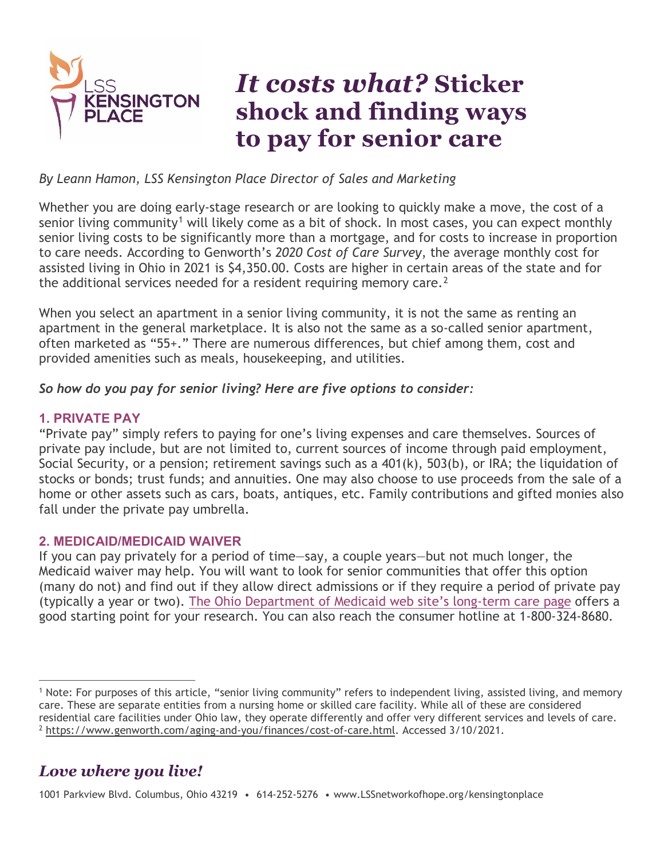

# *It costs what?* **Sticker shock and finding ways to pay for senior care**

### *By Leann Hamon, LSS Kensington Place Director of Sales and Marketing*

Whether you are doing early-stage research or are looking to quickly make a move, the cost of a senior living community<sup>[1](#page-0-0)</sup> will likely come as a bit of shock. In most cases, you can expect monthly senior living costs to be significantly more than a mortgage, and for costs to increase in proportion to care needs. According to Genworth's *2020 Cost of Care Survey*, the average monthly cost for assisted living in Ohio in 2021 is \$4,350.00. Costs are higher in certain areas of the state and for the additional services needed for a resident requiring memory care.<sup>[2](#page-0-1)</sup>

When you select an apartment in a senior living community, it is not the same as renting an apartment in the general marketplace. It is also not the same as a so-called senior apartment, often marketed as "55+." There are numerous differences, but chief among them, cost and provided amenities such as meals, housekeeping, and utilities.

### *So how do you pay for senior living? Here are five options to consider:*

## **1. PRIVATE PAY**

"Private pay" simply refers to paying for one's living expenses and care themselves. Sources of private pay include, but are not limited to, current sources of income through paid employment, Social Security, or a pension; retirement savings such as a 401(k), 503(b), or IRA; the liquidation of stocks or bonds; trust funds; and annuities. One may also choose to use proceeds from the sale of a home or other assets such as cars, boats, antiques, etc. Family contributions and gifted monies also fall under the private pay umbrella.

### **2. MEDICAID/MEDICAID WAIVER**

If you can pay privately for a period of time—say, a couple years—but not much longer, the Medicaid waiver may help. You will want to look for senior communities that offer this option (many do not) and find out if they allow direct admissions or if they require a period of private pay (typically a year or two). [The Ohio Department of Medicaid web site's long-term care](https://medicaid.ohio.gov/for-ohioans/Programs#623546-long-term-care) page offers a good starting point for your research. You can also reach the consumer hotline at 1-800-324-8680.

# <span id="page-0-1"></span>*Love where you live!*

1001 Parkview Blvd. Columbus, Ohio 43219 • 614-252-5276 • www.LSSnetworkofhope.org/kensingtonplace

<span id="page-0-0"></span><sup>&</sup>lt;sup>1</sup> Note: For purposes of this article, "senior living community" refers to independent living, assisted living, and memory care. These are separate entities from a nursing home or skilled care facility. While all of these are considered residential care facilities under Ohio law, they operate differently and offer very different services and levels of care.  $^2$  [https://www.genworth.com/aging-and-you/finances/cost-of-care.html.](https://www.genworth.com/aging-and-you/finances/cost-of-care.html) Accessed 3/10/2021.